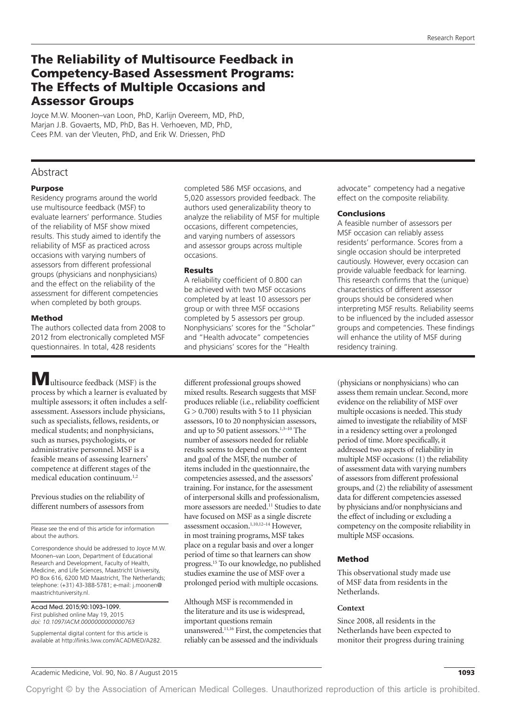# The Reliability of Multisource Feedback in Competency-Based Assessment Programs: The Effects of Multiple Occasions and Assessor Groups

Joyce M.W. Moonen–van Loon, PhD, Karlijn Overeem, MD, PhD, Marjan J.B. Govaerts, MD, PhD, Bas H. Verhoeven, MD, PhD, Cees P.M. van der Vleuten, PhD, and Erik W. Driessen, PhD

## Abstract

### Purpose

Residency programs around the world use multisource feedback (MSF) to evaluate learners' performance. Studies of the reliability of MSF show mixed results. This study aimed to identify the reliability of MSF as practiced across occasions with varying numbers of assessors from different professional groups (physicians and nonphysicians) and the effect on the reliability of the assessment for different competencies when completed by both groups.

## Method

The authors collected data from 2008 to 2012 from electronically completed MSF questionnaires. In total, 428 residents

**Multisource feedback (MSF) is the** process by which a learner is evaluated by multiple assessors; it often includes a selfassessment. Assessors include physicians, such as specialists, fellows, residents, or medical students; and nonphysicians, such as nurses, psychologists, or administrative personnel. MSF is a feasible means of assessing learners' competence at different stages of the medical education continuum.<sup>1,2</sup>

Previous studies on the reliability of different numbers of assessors from

Please see the end of this article for information about the authors.

Correspondence should be addressed to Joyce M.W. Moonen–van Loon, Department of Educational Research and Development, Faculty of Health, Medicine, and Life Sciences, Maastricht University, PO Box 616, 6200 MD Maastricht, The Netherlands; telephone: (+31) 43-388-5781; e-mail: j.moonen@ maastrichtuniversity.nl.

Acad Med. 2015;90:1093–1099. First published online May 19, 2015 *doi: 10.1097/ACM.0000000000000763*

Supplemental digital content for this article is available at http://links.lww.com/ACADMED/A282. completed 586 MSF occasions, and 5,020 assessors provided feedback. The authors used generalizability theory to analyze the reliability of MSF for multiple occasions, different competencies, and varying numbers of assessors and assessor groups across multiple occasions.

## Results

A reliability coefficient of 0.800 can be achieved with two MSF occasions completed by at least 10 assessors per group or with three MSF occasions completed by 5 assessors per group. Nonphysicians' scores for the "Scholar" and "Health advocate" competencies and physicians' scores for the "Health

different professional groups showed mixed results. Research suggests that MSF produces reliable (i.e., reliability coefficient  $G > 0.700$ ) results with 5 to 11 physician assessors, 10 to 20 nonphysician assessors, and up to 50 patient assessors.1,3–10 The number of assessors needed for reliable results seems to depend on the content and goal of the MSF, the number of items included in the questionnaire, the competencies assessed, and the assessors' training. For instance, for the assessment of interpersonal skills and professionalism, more assessors are needed.<sup>11</sup> Studies to date have focused on MSF as a single discrete assessment occasion.1,10,12–14 However, in most training programs, MSF takes place on a regular basis and over a longer period of time so that learners can show progress.15 To our knowledge, no published studies examine the use of MSF over a prolonged period with multiple occasions.

Although MSF is recommended in the literature and its use is widespread, important questions remain unanswered.<sup>11,16</sup> First, the competencies that reliably can be assessed and the individuals

advocate" competency had a negative effect on the composite reliability.

### Conclusions

A feasible number of assessors per MSF occasion can reliably assess residents' performance. Scores from a single occasion should be interpreted cautiously. However, every occasion can provide valuable feedback for learning. This research confirms that the (unique) characteristics of different assessor groups should be considered when interpreting MSF results. Reliability seems to be influenced by the included assessor groups and competencies. These findings will enhance the utility of MSF during residency training.

(physicians or nonphysicians) who can assess them remain unclear. Second, more evidence on the reliability of MSF over multiple occasions is needed. This study aimed to investigate the reliability of MSF in a residency setting over a prolonged period of time. More specifically, it addressed two aspects of reliability in multiple MSF occasions: (1) the reliability of assessment data with varying numbers of assessors from different professional groups, and (2) the reliability of assessment data for different competencies assessed by physicians and/or nonphysicians and the effect of including or excluding a competency on the composite reliability in multiple MSF occasions.

## Method

This observational study made use of MSF data from residents in the Netherlands.

## **Context**

Since 2008, all residents in the Netherlands have been expected to monitor their progress during training

Copyright © by the Association of American Medical Colleges. Unauthorized reproduction of this article is prohibited.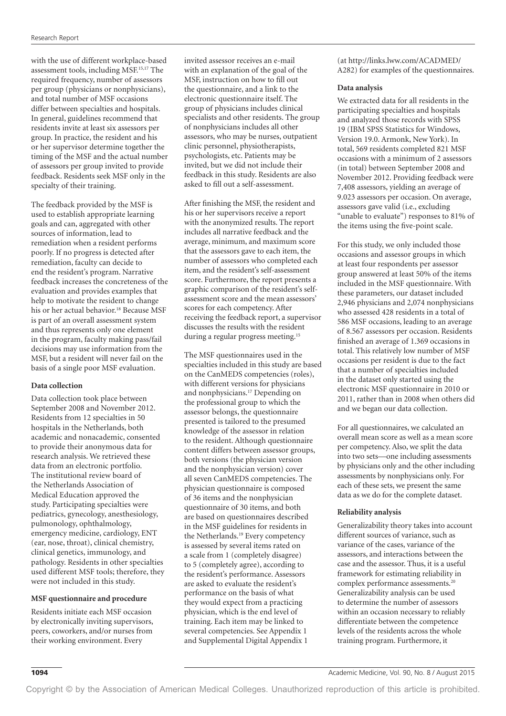with the use of different workplace-based assessment tools, including MSF.15,17 The required frequency, number of assessors per group (physicians or nonphysicians), and total number of MSF occasions differ between specialties and hospitals. In general, guidelines recommend that residents invite at least six assessors per group. In practice, the resident and his or her supervisor determine together the timing of the MSF and the actual number of assessors per group invited to provide feedback. Residents seek MSF only in the specialty of their training.

The feedback provided by the MSF is used to establish appropriate learning goals and can, aggregated with other sources of information, lead to remediation when a resident performs poorly. If no progress is detected after remediation, faculty can decide to end the resident's program. Narrative feedback increases the concreteness of the evaluation and provides examples that help to motivate the resident to change his or her actual behavior.<sup>18</sup> Because MSF is part of an overall assessment system and thus represents only one element in the program, faculty making pass/fail decisions may use information from the MSF, but a resident will never fail on the basis of a single poor MSF evaluation.

#### **Data collection**

Data collection took place between September 2008 and November 2012. Residents from 12 specialties in 50 hospitals in the Netherlands, both academic and nonacademic, consented to provide their anonymous data for research analysis. We retrieved these data from an electronic portfolio. The institutional review board of the Netherlands Association of Medical Education approved the study. Participating specialties were pediatrics, gynecology, anesthesiology, pulmonology, ophthalmology, emergency medicine, cardiology, ENT (ear, nose, throat), clinical chemistry, clinical genetics, immunology, and pathology. Residents in other specialties used different MSF tools; therefore, they were not included in this study.

#### **MSF questionnaire and procedure**

Residents initiate each MSF occasion by electronically inviting supervisors, peers, coworkers, and/or nurses from their working environment. Every

invited assessor receives an e-mail with an explanation of the goal of the MSF, instruction on how to fill out the questionnaire, and a link to the electronic questionnaire itself. The group of physicians includes clinical specialists and other residents. The group of nonphysicians includes all other assessors, who may be nurses, outpatient clinic personnel, physiotherapists, psychologists, etc. Patients may be invited, but we did not include their feedback in this study. Residents are also asked to fill out a self-assessment.

After finishing the MSF, the resident and his or her supervisors receive a report with the anonymized results. The report includes all narrative feedback and the average, minimum, and maximum score that the assessors gave to each item, the number of assessors who completed each item, and the resident's self-assessment score. Furthermore, the report presents a graphic comparison of the resident's selfassessment score and the mean assessors' scores for each competency. After receiving the feedback report, a supervisor discusses the results with the resident during a regular progress meeting.<sup>15</sup>

The MSF questionnaires used in the specialties included in this study are based on the CanMEDS competencies (roles), with different versions for physicians and nonphysicians.17 Depending on the professional group to which the assessor belongs, the questionnaire presented is tailored to the presumed knowledge of the assessor in relation to the resident. Although questionnaire content differs between assessor groups, both versions (the physician version and the nonphysician version) cover all seven CanMEDS competencies. The physician questionnaire is composed of 36 items and the nonphysician questionnaire of 30 items, and both are based on questionnaires described in the MSF guidelines for residents in the Netherlands.19 Every competency is assessed by several items rated on a scale from 1 (completely disagree) to 5 (completely agree), according to the resident's performance. Assessors are asked to evaluate the resident's performance on the basis of what they would expect from a practicing physician, which is the end level of training. Each item may be linked to several competencies. See Appendix 1 and Supplemental Digital Appendix 1

(at http://links.lww.com/ACADMED/ A282) for examples of the questionnaires.

#### **Data analysis**

We extracted data for all residents in the participating specialties and hospitals and analyzed those records with SPSS 19 (IBM SPSS Statistics for Windows, Version 19.0. Armonk, New York). In total, 569 residents completed 821 MSF occasions with a minimum of 2 assessors (in total) between September 2008 and November 2012. Providing feedback were 7,408 assessors, yielding an average of 9.023 assessors per occasion. On average, assessors gave valid (i.e., excluding "unable to evaluate") responses to 81% of the items using the five-point scale.

For this study, we only included those occasions and assessor groups in which at least four respondents per assessor group answered at least 50% of the items included in the MSF questionnaire. With these parameters, our dataset included 2,946 physicians and 2,074 nonphysicians who assessed 428 residents in a total of 586 MSF occasions, leading to an average of 8.567 assessors per occasion. Residents finished an average of 1.369 occasions in total. This relatively low number of MSF occasions per resident is due to the fact that a number of specialties included in the dataset only started using the electronic MSF questionnaire in 2010 or 2011, rather than in 2008 when others did and we began our data collection.

For all questionnaires, we calculated an overall mean score as well as a mean score per competency. Also, we split the data into two sets—one including assessments by physicians only and the other including assessments by nonphysicians only. For each of these sets, we present the same data as we do for the complete dataset.

#### **Reliability analysis**

Generalizability theory takes into account different sources of variance, such as variance of the cases, variance of the assessors, and interactions between the case and the assessor. Thus, it is a useful framework for estimating reliability in complex performance assessments.<sup>20</sup> Generalizability analysis can be used to determine the number of assessors within an occasion necessary to reliably differentiate between the competence levels of the residents across the whole training program. Furthermore, it

1094 Academic Medicine, Vol. 90, No. 8 / August 2015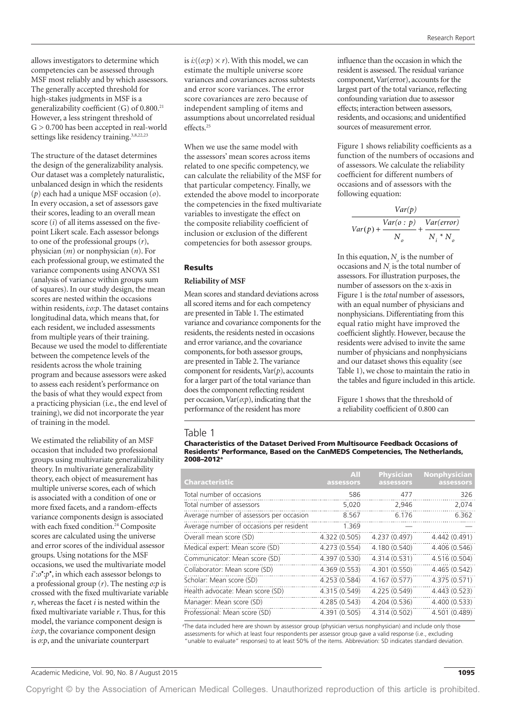allows investigators to determine which competencies can be assessed through MSF most reliably and by which assessors. The generally accepted threshold for high-stakes judgments in MSF is a generalizability coefficient (G) of  $0.800$ <sup>21</sup> However, a less stringent threshold of G > 0.700 has been accepted in real-world settings like residency training.<sup>3,8,22,23</sup>

The structure of the dataset determines the design of the generalizability analysis. Our dataset was a completely naturalistic, unbalanced design in which the residents (*p*) each had a unique MSF occasion (*o*). In every occasion, a set of assessors gave their scores, leading to an overall mean score (*i*) of all items assessed on the fivepoint Likert scale. Each assessor belongs to one of the professional groups (*r*), physician (*m*) or nonphysician (*n*). For each professional group, we estimated the variance components using ANOVA SS1 (analysis of variance within groups sum of squares). In our study design, the mean scores are nested within the occasions within residents, *i:o:p*. The dataset contains longitudinal data, which means that, for each resident, we included assessments from multiple years of their training. Because we used the model to differentiate between the competence levels of the residents across the whole training program and because assessors were asked to assess each resident's performance on the basis of what they would expect from a practicing physician (i.e., the end level of training), we did not incorporate the year of training in the model.

We estimated the reliability of an MSF occasion that included two professional groups using multivariate generalizability theory. In multivariate generalizability theory, each object of measurement has multiple universe scores, each of which is associated with a condition of one or more fixed facets, and a random-effects variance components design is associated with each fixed condition.<sup>24</sup> Composite scores are calculated using the universe and error scores of the individual assessor groups. Using notations for the MSF occasions, we used the multivariate model *i*<sup>•</sup>: $o$ **<sup>•</sup>**: $p$ **<sup>•</sup>**, in which each assessor belongs to a professional group (*r*). The nesting *o:p* is crossed with the fixed multivariate variable *r*, whereas the facet *i* is nested within the fixed multivariate variable *r*. Thus, for this model, the variance component design is *i:o:p*, the covariance component design is *o:p*, and the univariate counterpart

is  $i:((o:p) \times r)$ . With this model, we can estimate the multiple universe score variances and covariances across subtests and error score variances. The error score covariances are zero because of independent sampling of items and assumptions about uncorrelated residual effects.25

When we use the same model with the assessors' mean scores across items related to one specific competency, we can calculate the reliability of the MSF for that particular competency. Finally, we extended the above model to incorporate the competencies in the fixed multivariate variables to investigate the effect on the composite reliability coefficient of inclusion or exclusion of the different competencies for both assessor groups.

### **Results**

#### **Reliability of MSF**

Mean scores and standard deviations across all scored items and for each competency are presented in Table 1. The estimated variance and covariance components for the residents, the residents nested in occasions and error variance, and the covariance components, for both assessor groups, are presented in Table 2. The variance component for residents, Var(*p*), accounts for a larger part of the total variance than does the component reflecting resident per occasion, Var(*o:p*), indicating that the performance of the resident has more

influence than the occasion in which the resident is assessed. The residual variance component, Var(error), accounts for the largest part of the total variance, reflecting confounding variation due to assessor effects; interaction between assessors, residents, and occasions; and unidentified sources of measurement error.

Figure 1 shows reliability coefficients as a function of the numbers of occasions and of assessors. We calculate the reliability coefficient for different numbers of occasions and of assessors with the following equation:

$$
\frac{Var(p)}{Var(p) + \frac{Var(o:p)}{N_o} + \frac{Var(error)}{N_i * N_o}}
$$

In this equation,  $N_{\rho}$  is the number of occasions and  $N_i$  is the total number of assessors. For illustration purposes, the number of assessors on the x-axis in Figure 1 is the *total* number of assessors, with an equal number of physicians and nonphysicians. Differentiating from this equal ratio might have improved the coefficient slightly. However, because the residents were advised to invite the same number of physicians and nonphysicians and our dataset shows this equality (see Table 1), we chose to maintain the ratio in the tables and figure included in this article.

Figure 1 shows that the threshold of a reliability coefficient of 0.800 can

#### Table 1

Characteristics of the Dataset Derived From Multisource Feedback Occasions of Residents' Performance, Based on the CanMEDS Competencies, The Netherlands, 2008–2012a

| <b>Characteristic</b>                    | AII<br>assessors | <b>Physician</b><br>assessors | <b>Nonphysician</b><br>assessors |
|------------------------------------------|------------------|-------------------------------|----------------------------------|
| Total number of occasions                | 586              | 477                           | 326                              |
| Total number of assessors                | 5,020            | 2,946                         | 2,074                            |
| Average number of assessors per occasion | 8.567            | 6.176                         | 6.362                            |
| Average number of occasions per resident | 1.369            |                               |                                  |
| Overall mean score (SD)                  | 4.322 (0.505)    | 4.237 (0.497)                 | 4.442 (0.491)                    |
| Medical expert: Mean score (SD)          | 4.273 (0.554)    | 4.180 (0.540)                 | 4.406 (0.546)                    |
| Communicator: Mean score (SD)            | 4.397 (0.530)    | 4.314 (0.531)                 | 4.516 (0.504)                    |
| Collaborator: Mean score (SD)            | 4.369 (0.553)    | 4.301 (0.550)                 | 4.465 (0.542)                    |
| Scholar: Mean score (SD)                 | 4.253 (0.584)    | 4.167 (0.577)                 | 4.375 (0.571)                    |
| Health advocate: Mean score (SD)         | 4.315 (0.549)    | 4.225 (0.549)                 | 4.443 (0.523)                    |
| Manager: Mean score (SD)                 | 4.285 (0.543)    | 4.204 (0.536)                 | 4.400 (0.533)                    |
| Professional: Mean score (SD)            | 4.391 (0.505)    | 4.314 (0.502)                 | 4.501 (0.489)                    |

a The data included here are shown by assessor group (physician versus nonphysician) and include only those assessments for which at least four respondents per assessor group gave a valid response (i.e., excluding "unable to evaluate" responses) to at least 50% of the items. Abbreviation: SD indicates standard deviation.

Academic Medicine, Vol. 90, No. 8 / August 2015 1095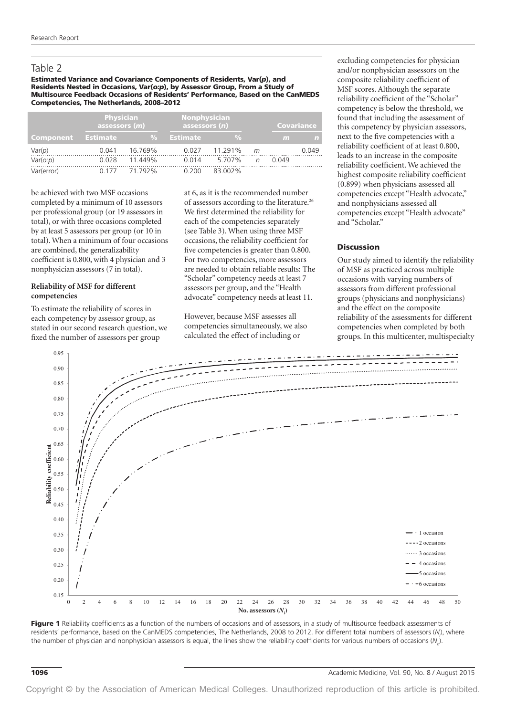## Table 2

Estimated Variance and Covariance Components of Residents, Var(*p*), and Residents Nested in Occasions, Var(*o:p*), by Assessor Group, From a Study of Multisource Feedback Occasions of Residents' Performance, Based on the CanMEDS Competencies, The Netherlands, 2008–2012

|                  | <b>Physician</b><br>$\overline{ass}$ essors $(m)$ |         | <b>Nonphysician</b><br>$\overline{$ assessors (n) |         |   |       | Covariance |
|------------------|---------------------------------------------------|---------|---------------------------------------------------|---------|---|-------|------------|
| <b>Component</b> | <b>Estimate</b>                                   |         | <b>Estimate</b>                                   |         |   | m     |            |
| Var(p)           | 0.041                                             | 16.769% | 0.027                                             | 11.291% | m |       | ገ በ49      |
| Var(o:p)         | 0.028                                             | 11 449% | 0 0 1 4                                           | 5.707%  |   | 0 049 |            |
| Var(error)       |                                                   | 71 792% |                                                   | 83 002% |   |       |            |

be achieved with two MSF occasions completed by a minimum of 10 assessors per professional group (or 19 assessors in total), or with three occasions completed by at least 5 assessors per group (or 10 in total). When a minimum of four occasions are combined, the generalizability coefficient is 0.800, with 4 physician and 3 nonphysician assessors (7 in total).

#### **Reliability of MSF for different competencies**

To estimate the reliability of scores in each competency by assessor group, as stated in our second research question, we fixed the number of assessors per group

at 6, as it is the recommended number of assessors according to the literature.26 We first determined the reliability for each of the competencies separately (see Table 3). When using three MSF occasions, the reliability coefficient for five competencies is greater than 0.800. For two competencies, more assessors are needed to obtain reliable results: The "Scholar" competency needs at least 7 assessors per group, and the "Health advocate" competency needs at least 11.

However, because MSF assesses all competencies simultaneously, we also calculated the effect of including or

excluding competencies for physician and/or nonphysician assessors on the composite reliability coefficient of MSF scores. Although the separate reliability coefficient of the "Scholar" competency is below the threshold, we found that including the assessment of this competency by physician assessors, next to the five competencies with a reliability coefficient of at least 0.800, leads to an increase in the composite reliability coefficient. We achieved the highest composite reliability coefficient (0.899) when physicians assessed all competencies except "Health advocate," and nonphysicians assessed all competencies except "Health advocate" and "Scholar."

#### **Discussion**

Our study aimed to identify the reliability of MSF as practiced across multiple occasions with varying numbers of assessors from different professional groups (physicians and nonphysicians) and the effect on the composite reliability of the assessments for different competencies when completed by both groups. In this multicenter, multispecialty



Figure 1 Reliability coefficients as a function of the numbers of occasions and of assessors, in a study of multisource feedback assessments of residents' performance, based on the CanMEDS competencies, The Netherlands, 2008 to 2012. For different total numbers of assessors (*Ni* ), where the number of physician and nonphysician assessors is equal, the lines show the reliability coefficients for various numbers of occasions (*No* ).

Copyright © by the Association of American Medical Colleges. Unauthorized reproduction of this article is prohibited.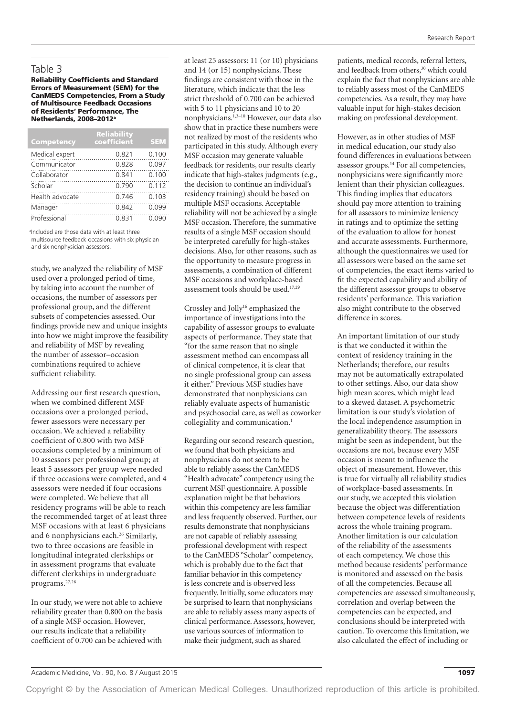## Table 3

#### Reliability Coefficients and Standard Errors of Measurement (SEM) for the CanMEDS Competencies, From a Study of Multisource Feedback Occasions of Residents' Performance, The Netherlands, 2008–2012a

| <b>Competency</b> | <b>Reliability</b><br>coefficient | <b>SEM</b>                                  |
|-------------------|-----------------------------------|---------------------------------------------|
| Medical expert    | 0.821                             | 0.100                                       |
| Communicator      | 0.828                             | 0.097                                       |
| Collaborator      | 0.841                             | 0.100                                       |
| Scholar           | 0.790                             | 0.112                                       |
| Health advocate   | 0 746                             | 0 103                                       |
| Manager           | 0.842                             | 0 099                                       |
| Professional      | 0.831                             | $(1)$ $\cap$ <sup><math>\alpha</math></sup> |

a Included are those data with at least three multisource feedback occasions with six physician and six nonphysician assessors.

study, we analyzed the reliability of MSF used over a prolonged period of time, by taking into account the number of occasions, the number of assessors per professional group, and the different subsets of competencies assessed. Our findings provide new and unique insights into how we might improve the feasibility and reliability of MSF by revealing the number of assessor–occasion combinations required to achieve sufficient reliability.

Addressing our first research question, when we combined different MSF occasions over a prolonged period, fewer assessors were necessary per occasion. We achieved a reliability coefficient of 0.800 with two MSF occasions completed by a minimum of 10 assessors per professional group; at least 5 assessors per group were needed if three occasions were completed, and 4 assessors were needed if four occasions were completed. We believe that all residency programs will be able to reach the recommended target of at least three MSF occasions with at least 6 physicians and 6 nonphysicians each.<sup>26</sup> Similarly, two to three occasions are feasible in longitudinal integrated clerkships or in assessment programs that evaluate different clerkships in undergraduate programs.27,28

In our study, we were not able to achieve reliability greater than 0.800 on the basis of a single MSF occasion. However, our results indicate that a reliability coefficient of 0.700 can be achieved with

at least 25 assessors: 11 (or 10) physicians and 14 (or 15) nonphysicians. These findings are consistent with those in the literature, which indicate that the less strict threshold of 0.700 can be achieved with 5 to 11 physicians and 10 to 20 nonphysicians.1,3–10 However, our data also show that in practice these numbers were not realized by most of the residents who participated in this study. Although every MSF occasion may generate valuable feedback for residents, our results clearly indicate that high-stakes judgments (e.g., the decision to continue an individual's residency training) should be based on multiple MSF occasions. Acceptable reliability will not be achieved by a single MSF occasion. Therefore, the summative results of a single MSF occasion should be interpreted carefully for high-stakes decisions. Also, for other reasons, such as the opportunity to measure progress in assessments, a combination of different MSF occasions and workplace-based assessment tools should be used.17,29

Crossley and Jolly<sup>16</sup> emphasized the importance of investigations into the capability of assessor groups to evaluate aspects of performance. They state that "for the same reason that no single assessment method can encompass all of clinical competence, it is clear that no single professional group can assess it either." Previous MSF studies have demonstrated that nonphysicians can reliably evaluate aspects of humanistic and psychosocial care, as well as coworker collegiality and communication.<sup>1</sup>

Regarding our second research question, we found that both physicians and nonphysicians do not seem to be able to reliably assess the CanMEDS "Health advocate" competency using the current MSF questionnaire. A possible explanation might be that behaviors within this competency are less familiar and less frequently observed. Further, our results demonstrate that nonphysicians are not capable of reliably assessing professional development with respect to the CanMEDS "Scholar" competency, which is probably due to the fact that familiar behavior in this competency is less concrete and is observed less frequently. Initially, some educators may be surprised to learn that nonphysicians are able to reliably assess many aspects of clinical performance. Assessors, however, use various sources of information to make their judgment, such as shared

patients, medical records, referral letters, and feedback from others,<sup>30</sup> which could explain the fact that nonphysicians are able to reliably assess most of the CanMEDS competencies. As a result, they may have valuable input for high-stakes decision making on professional development.

However, as in other studies of MSF in medical education, our study also found differences in evaluations between assessor groups.14 For all competencies, nonphysicians were significantly more lenient than their physician colleagues. This finding implies that educators should pay more attention to training for all assessors to minimize leniency in ratings and to optimize the setting of the evaluation to allow for honest and accurate assessments. Furthermore, although the questionnaires we used for all assessors were based on the same set of competencies, the exact items varied to fit the expected capability and ability of the different assessor groups to observe residents' performance. This variation also might contribute to the observed difference in scores.

An important limitation of our study is that we conducted it within the context of residency training in the Netherlands; therefore, our results may not be automatically extrapolated to other settings. Also, our data show high mean scores, which might lead to a skewed dataset. A psychometric limitation is our study's violation of the local independence assumption in generalizability theory. The assessors might be seen as independent, but the occasions are not, because every MSF occasion is meant to influence the object of measurement. However, this is true for virtually all reliability studies of workplace-based assessments. In our study, we accepted this violation because the object was differentiation between competence levels of residents across the whole training program. Another limitation is our calculation of the reliability of the assessments of each competency. We chose this method because residents' performance is monitored and assessed on the basis of all the competencies. Because all competencies are assessed simultaneously, correlation and overlap between the competencies can be expected, and conclusions should be interpreted with caution. To overcome this limitation, we also calculated the effect of including or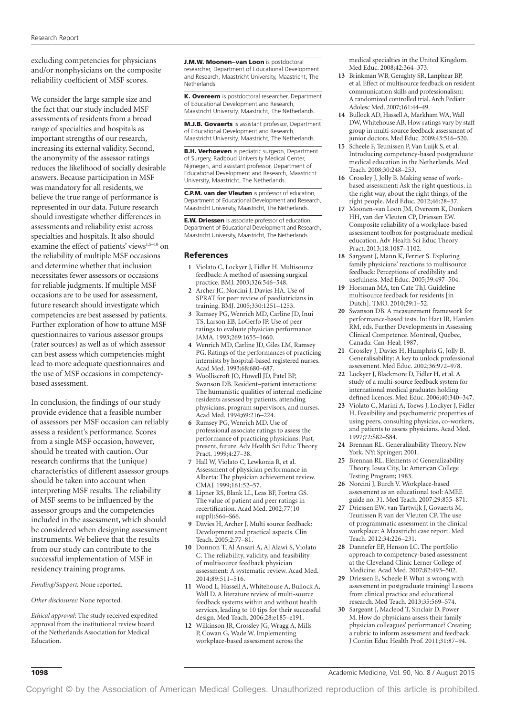excluding competencies for physicians and/or nonphysicians on the composite reliability coefficient of MSF scores.

We consider the large sample size and the fact that our study included MSF assessments of residents from a broad range of specialties and hospitals as important strengths of our research, increasing its external validity. Second, the anonymity of the assessor ratings reduces the likelihood of socially desirable answers. Because participation in MSF was mandatory for all residents, we believe the true range of performance is represented in our data. Future research should investigate whether differences in assessments and reliability exist across specialties and hospitals. It also should examine the effect of patients' views<sup>1,5-10</sup> on the reliability of multiple MSF occasions and determine whether that inclusion necessitates fewer assessors or occasions for reliable judgments. If multiple MSF occasions are to be used for assessment, future research should investigate which competencies are best assessed by patients. Further exploration of how to attune MSF questionnaires to various assessor groups (rater sources) as well as of which assessor can best assess which competencies might lead to more adequate questionnaires and the use of MSF occasions in competencybased assessment.

In conclusion, the findings of our study provide evidence that a feasible number of assessors per MSF occasion can reliably assess a resident's performance. Scores from a single MSF occasion, however, should be treated with caution. Our research confirms that the (unique) characteristics of different assessor groups should be taken into account when interpreting MSF results. The reliability of MSF seems to be influenced by the assessor groups and the competencies included in the assessment, which should be considered when designing assessment instruments. We believe that the results from our study can contribute to the successful implementation of MSF in residency training programs.

*Funding/Support:* None reported.

*Other disclosures:* None reported.

*Ethical approval*: The study received expedited approval from the institutional review board of the Netherlands Association for Medical Education.

J.M.W. Moonen**–**van Loon is postdoctoral researcher, Department of Educational Development and Research, Maastricht University, Maastricht, The **Netherlands** 

K. Overeem is postdoctoral researcher, Department of Educational Development and Research, Maastricht University, Maastricht, The Netherlands.

M.J.B. Govaerts is assistant professor, Department of Educational Development and Research, Maastricht University, Maastricht, The Netherlands.

**B.H. Verhoeven** is pediatric surgeon, Department of Surgery, Radboud University Medical Center, Nijmegen, and assistant professor, Department of Educational Development and Research, Maastricht University, Maastricht, The Netherlands.

C.P.M. van der Vleuten is professor of education, Department of Educational Development and Research, Maastricht University, Maastricht, The Netherlands.

**E.W. Driessen** is associate professor of education, Department of Educational Development and Research, Maastricht University, Maastricht, The Netherlands.

#### References

- **1** Violato C, Lockyer J, Fidler H. Multisource feedback: A method of assessing surgical practice. BMJ. 2003;326:546–548.
- **2** Archer JC, Norcini J, Davies HA. Use of SPRAT for peer review of paediatricians in training. BMJ. 2005;330:1251–1253.
- **3** Ramsey PG, Wenrich MD, Carline JD, Inui TS, Larson EB, LoGerfo JP. Use of peer ratings to evaluate physician performance. JAMA. 1993;269:1655–1660.
- **4** Wenrich MD, Carline JD, Giles LM, Ramsey PG. Ratings of the performances of practicing internists by hospital-based registered nurses. Acad Med. 1993;68:680–687.
- **5** Woolliscroft JO, Howell JD, Patel BP, Swanson DB. Resident–patient interactions: The humanistic qualities of internal medicine residents assessed by patients, attending physicians, program supervisors, and nurses. Acad Med. 1994;69:216–224.
- **6** Ramsey PG, Wenrich MD. Use of professional associate ratings to assess the performance of practicing physicians: Past, present, future. Adv Health Sci Educ Theory Pract. 1999;4:27–38.
- **7** Hall W, Violato C, Lewkonia R, et al. Assessment of physician performance in Alberta: The physician achievement review. CMAJ. 1999;161:52–57.
- **8** Lipner RS, Blank LL, Leas BF, Fortna GS. The value of patient and peer ratings in recertification. Acad Med. 2002;77(10 suppl):S64–S66.
- **9** Davies H, Archer J. Multi source feedback: Development and practical aspects. Clin Teach. 2005;2:77–81.
- **10** Donnon T, Al Ansari A, Al Alawi S, Violato C. The reliability, validity, and feasibility of multisource feedback physician assessment: A systematic review. Acad Med. 2014;89:511–516.
- **11** Wood L, Hassell A, Whitehouse A, Bullock A, Wall D. A literature review of multi-source feedback systems within and without health services, leading to 10 tips for their successful design. Med Teach. 2006;28:e185–e191.
- **12** Wilkinson JR, Crossley JG, Wragg A, Mills P, Cowan G, Wade W. Implementing workplace-based assessment across the

medical specialties in the United Kingdom. Med Educ. 2008;42:364–373.

- **13** Brinkman WB, Geraghty SR, Lanphear BP, et al. Effect of multisource feedback on resident communication skills and professionalism: A randomized controlled trial. Arch Pediatr Adolesc Med. 2007;161:44–49.
- **14** Bullock AD, Hassell A, Markham WA, Wall DW, Whitehouse AB. How ratings vary by staff group in multi-source feedback assessment of junior doctors. Med Educ. 2009;43:516–520.
- **15** Scheele F, Teunissen P, Van Luijk S, et al. Introducing competency-based postgraduate medical education in the Netherlands. Med Teach. 2008;30:248–253.
- **16** Crossley J, Jolly B. Making sense of workbased assessment: Ask the right questions, in the right way, about the right things, of the right people. Med Educ. 2012;46:28–37.
- **17** Moonen-van Loon JM, Overeem K, Donkers HH, van der Vleuten CP, Driessen EW. Composite reliability of a workplace-based assessment toolbox for postgraduate medical education. Adv Health Sci Educ Theory Pract. 2013;18:1087–1102.
- **18** Sargeant J, Mann K, Ferrier S. Exploring family physicians' reactions to multisource feedback: Perceptions of credibility and usefulness. Med Educ. 2005;39:497–504.
- **19** Horsman MA, ten Cate ThJ. Guideline multisource feedback for residents [in Dutch]. TMO. 2010;29:1–52.
- **20** Swanson DB. A measurement framework for performance-based tests. In: Hart IR, Harden RM, eds. Further Developments in Assessing Clinical Competence. Montreal, Quebec, Canada: Can-Heal; 1987.
- **21** Crossley J, Davies H, Humphris G, Jolly B. Generalisability: A key to unlock professional assessment. Med Educ. 2002;36:972–978.
- **22** Lockyer J, Blackmore D, Fidler H, et al. A study of a multi-source feedback system for international medical graduates holding defined licences. Med Educ. 2006;40:340–347.
- **23** Violato C, Marini A, Toews J, Lockyer J, Fidler H. Feasibility and psychometric properties of using peers, consulting physicias, co-workers, and patients to assess physicians. Acad Med. 1997;72:S82–S84.
- **24** Brennan RL. Generalizability Theory. New York, NY: Springer; 2001.
- **25** Brennan RL. Elements of Generalizability Theory. Iowa City, Ia: American College Testing Program; 1983.
- **26** Norcini J, Burch V. Workplace-based assessment as an educational tool: AMEE guide no. 31. Med Teach. 2007;29:855–871.
- **27** Driessen EW, van Tartwijk J, Govaerts M, Teunissen P, van der Vleuten CP. The use of programmatic assessment in the clinical workplace: A Maastricht case report. Med Teach. 2012;34:226–231.
- **28** Dannefer EF, Henson LC. The portfolio approach to competency-based assessment at the Cleveland Clinic Lerner College of Medicine. Acad Med. 2007;82:493–502.
- **29** Driessen E, Scheele F. What is wrong with assessment in postgraduate training? Lessons from clinical practice and educational research. Med Teach. 2013;35:569–574.
- **30** Sargeant J, Macleod T, Sinclair D, Power M. How do physicians assess their family physician colleagues' performance? Creating a rubric to inform assessment and feedback. J Contin Educ Health Prof. 2011;31:87–94.

1098 Academic Medicine, Vol. 90, No. 8 / August 2015